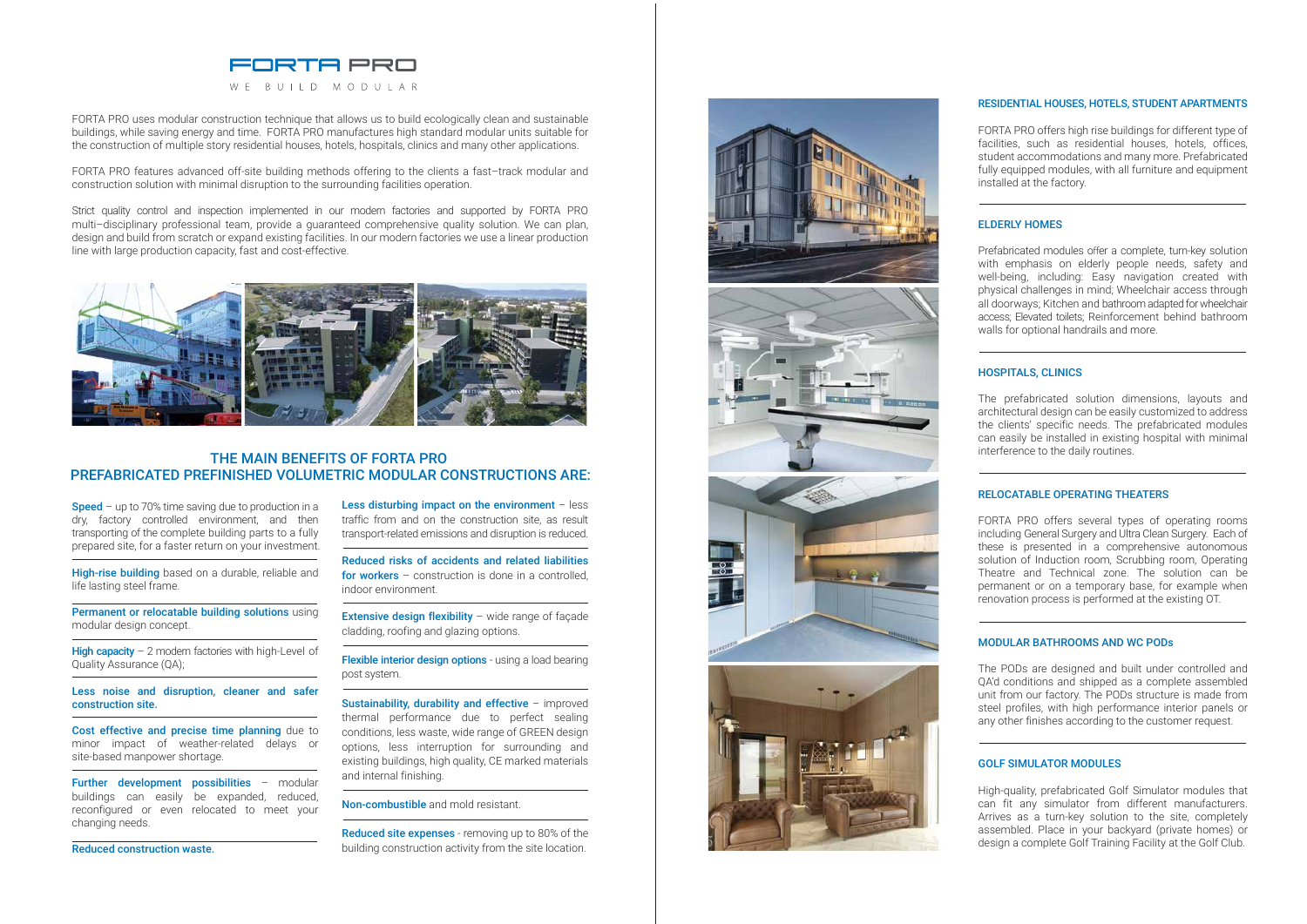#### RESIDENTIAL HOUSES, HOTELS, STUDENT APARTMENTS

FORTA PRO offers high rise buildings for different type of facilities, such as residential houses, hotels, offices, student accommodations and many more. Prefabricated fully equipped modules, with all furniture and equipment installed at the factory.

#### ELDERLY HOMES

Prefabricated modules offer a complete, turn-key solution with emphasis on elderly people needs, safety and well-being, including: Easy navigation created with physical challenges in mind; Wheelchair access through all doorways; Kitchen and bathroom adapted for wheelchair access; Elevated toilets; Reinforcement behind bathroom walls for optional handrails and more.

#### HOSPITALS, CLINICS

The prefabricated solution dimensions, layouts and architectural design can be easily customized to address the clients' specific needs. The prefabricated modules can easily be installed in existing hospital with minimal interference to the daily routines.

#### RELOCATABLE OPERATING THEATERS

FORTA PRO offers several types of operating rooms including General Surgery and Ultra Clean Surgery. Each of these is presented in a comprehensive autonomous solution of Induction room, Scrubbing room, Operating Theatre and Technical zone. The solution can be permanent or on a temporary base, for example when renovation process is performed at the existing OT.

#### MODULAR BATHROOMS AND WC PODs

The PODs are designed and built under controlled and QA'd conditions and shipped as a complete assembled unit from our factory. The PODs structure is made from steel profiles, with high performance interior panels or any other finishes according to the customer request.

**Speed** – up to 70% time saving due to production in a dry, factory controlled environment, and then transporting of the complete building parts to a fully prepared site, for a faster return on your investment.

High-rise building based on a durable, reliable and life lasting steel frame.

Permanent or relocatable building solutions using modular design concept.

### GOLF SIMULATOR MODULES

High capacity  $-2$  modern factories with high-Level of Quality Assurance (QA);

Cost effective and precise time planning due to minor impact of weather-related delays or site-based manpower shortage.

> High-quality, prefabricated Golf Simulator modules that can fit any simulator from different manufacturers. Arrives as a turn-key solution to the site, completely assembled. Place in your backyard (private homes) or design a complete Golf Training Facility at the Golf Club.

Further development possibilities - modular buildings can easily be expanded, reduced, reconfigured or even relocated to meet your changing needs.

Less disturbing impact on the environment  $-$  less traffic from and on the construction site, as result transport-related emissions and disruption is reduced.

**Extensive design flexibility** – wide range of façade cladding, roofing and glazing options.

Flexible interior design options - using a load bearing post system.



FORTA PRO uses modular construction technique that allows us to build ecologically clean and sustainable buildings, while saving energy and time. FORTA PRO manufactures high standard modular units suitable for the construction of multiple story residential houses, hotels, hospitals, clinics and many other applications.

FORTA PRO features advanced off-site building methods offering to the clients a fast–track modular and construction solution with minimal disruption to the surrounding facilities operation.

Strict quality control and inspection implemented in our modern factories and supported by FORTA PRO multi–disciplinary professional team, provide a guaranteed comprehensive quality solution. We can plan, design and build from scratch or expand existing facilities. In our modern factories we use a linear production line with large production capacity, fast and cost-effective.



## THE MAIN BENEFITS OF FORTA PRO PREFABRICATED PREFINISHED VOLUMETRIC MODULAR CONSTRUCTIONS ARE:

Less noise and disruption, cleaner and safer construction site.

Reduced construction waste.

Reduced risks of accidents and related liabilities for workers  $-$  construction is done in a controlled, indoor environment.

Sustainability, durability and effective – improved thermal performance due to perfect sealing conditions, less waste, wide range of GREEN design options, less interruption for surrounding and existing buildings, high quality, CE marked materials and internal finishing.

Non-combustible and mold resistant.

Reduced site expenses - removing up to 80% of the building construction activity from the site location.